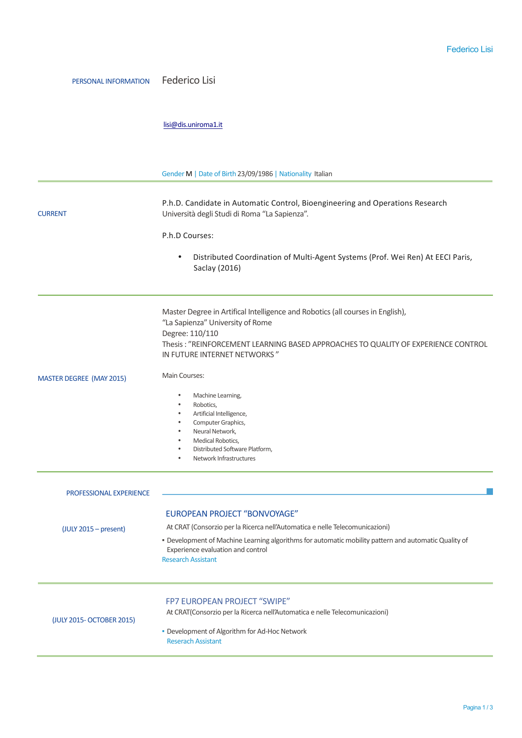## PERSONAL INFORMATION Federico Lisi

## lisi@dis.uniroma1.it

|                                 | Gender M   Date of Birth 23/09/1986   Nationality Italian                                                                                                                                                                                                                                     |
|---------------------------------|-----------------------------------------------------------------------------------------------------------------------------------------------------------------------------------------------------------------------------------------------------------------------------------------------|
| <b>CURRENT</b>                  | P.h.D. Candidate in Automatic Control, Bioengineering and Operations Research<br>Università degli Studi di Roma "La Sapienza".                                                                                                                                                                |
|                                 | P.h.D Courses:                                                                                                                                                                                                                                                                                |
|                                 | Distributed Coordination of Multi-Agent Systems (Prof. Wei Ren) At EECI Paris,<br>$\bullet$<br>Saclay (2016)                                                                                                                                                                                  |
|                                 | Master Degree in Artifical Intelligence and Robotics (all courses in English),<br>"La Sapienza" University of Rome<br>Degree: 110/110<br>Thesis: "REINFORCEMENT LEARNING BASED APPROACHES TO QUALITY OF EXPERIENCE CONTROL<br>IN FUTURE INTERNET NETWORKS"                                    |
| <b>MASTER DEGREE (MAY 2015)</b> | Main Courses:                                                                                                                                                                                                                                                                                 |
|                                 | Machine Learning,<br>Robotics,<br>$\bullet$<br>Artificial Intelligence,<br>$\bullet$<br>Computer Graphics,<br>٠<br>Neural Network,<br>Medical Robotics,<br>$\bullet$<br>Distributed Software Platform,<br>٠<br>Network Infrastructures<br>٠                                                   |
| <b>PROFESSIONAL EXPERIENCE</b>  |                                                                                                                                                                                                                                                                                               |
| $(UUV 2015 - present)$          | <b>EUROPEAN PROJECT "BONVOYAGE"</b><br>At CRAT (Consorzio per la Ricerca nell'Automatica e nelle Telecomunicazioni)<br>· Development of Machine Learning algorithms for automatic mobility pattern and automatic Quality of<br>Experience evaluation and control<br><b>Research Assistant</b> |
| (JULY 2015- OCTOBER 2015)       | FP7 EUROPEAN PROJECT "SWIPE"<br>At CRAT(Consorzio per la Ricerca nell'Automatica e nelle Telecomunicazioni)<br>• Development of Algorithm for Ad-Hoc Network<br><b>Reserach Assistant</b>                                                                                                     |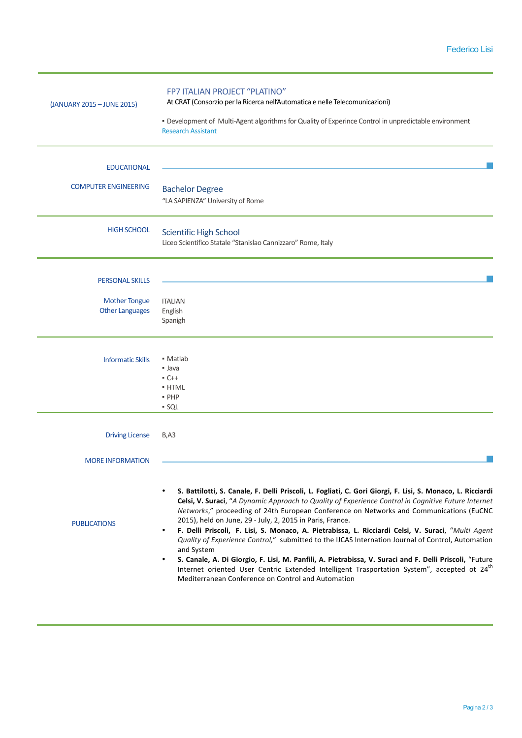| (JANUARY 2015 - JUNE 2015)                                               | FP7 ITALIAN PROJECT "PLATINO"<br>At CRAT (Consorzio per la Ricerca nell'Automatica e nelle Telecomunicazioni)<br>· Development of Multi-Agent algorithms for Quality of Experince Control in unpredictable environment<br><b>Research Assistant</b>                                                                                                                                                                                                                                                                                                                                                                                                                                                                                                                                                                                                                                                           |
|--------------------------------------------------------------------------|---------------------------------------------------------------------------------------------------------------------------------------------------------------------------------------------------------------------------------------------------------------------------------------------------------------------------------------------------------------------------------------------------------------------------------------------------------------------------------------------------------------------------------------------------------------------------------------------------------------------------------------------------------------------------------------------------------------------------------------------------------------------------------------------------------------------------------------------------------------------------------------------------------------|
| <b>EDUCATIONAL</b><br><b>COMPUTER ENGINEERING</b>                        | <b>Bachelor Degree</b><br>"LA SAPIENZA" University of Rome                                                                                                                                                                                                                                                                                                                                                                                                                                                                                                                                                                                                                                                                                                                                                                                                                                                    |
| <b>HIGH SCHOOL</b>                                                       | <b>Scientific High School</b><br>Liceo Scientifico Statale "Stanislao Cannizzaro" Rome, Italy                                                                                                                                                                                                                                                                                                                                                                                                                                                                                                                                                                                                                                                                                                                                                                                                                 |
| <b>PERSONAL SKILLS</b><br><b>Mother Tongue</b><br><b>Other Languages</b> | <b>ITALIAN</b><br>English<br>Spanigh                                                                                                                                                                                                                                                                                                                                                                                                                                                                                                                                                                                                                                                                                                                                                                                                                                                                          |
| <b>Informatic Skills</b>                                                 | • Matlab<br>• Java<br>$C++$<br>• HTML<br>· PHP<br>· SQL                                                                                                                                                                                                                                                                                                                                                                                                                                                                                                                                                                                                                                                                                                                                                                                                                                                       |
| <b>Driving License</b>                                                   | B, A3                                                                                                                                                                                                                                                                                                                                                                                                                                                                                                                                                                                                                                                                                                                                                                                                                                                                                                         |
| <b>MORE INFORMATION</b><br><b>PUBLICATIONS</b>                           | S. Battilotti, S. Canale, F. Delli Priscoli, L. Fogliati, C. Gori Giorgi, F. Lisi, S. Monaco, L. Ricciardi<br>$\bullet$<br>Celsi, V. Suraci, "A Dynamic Approach to Quality of Experience Control in Cognitive Future Internet<br>Networks," proceeding of 24th European Conference on Networks and Communications (EuCNC<br>2015), held on June, 29 - July, 2, 2015 in Paris, France.<br>F. Delli Priscoli, F. Lisi, S. Monaco, A. Pietrabissa, L. Ricciardi Celsi, V. Suraci, "Multi Agent<br>$\bullet$<br>Quality of Experience Control," submitted to the IJCAS Internation Journal of Control, Automation<br>and System<br>S. Canale, A. Di Giorgio, F. Lisi, M. Panfili, A. Pietrabissa, V. Suraci and F. Delli Priscoli, "Future<br>٠<br>Internet oriented User Centric Extended Intelligent Trasportation System", accepted ot 24 <sup>th</sup><br>Mediterranean Conference on Control and Automation |